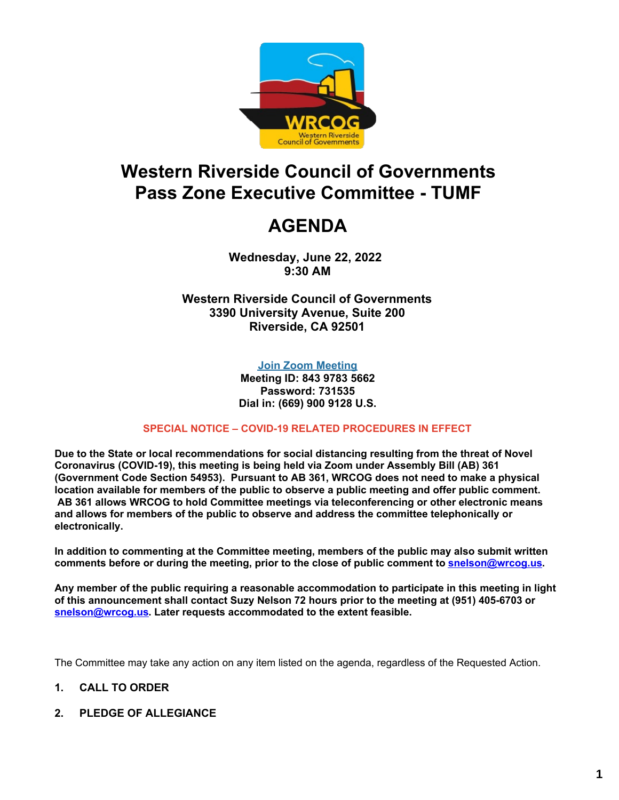

# **Western Riverside Council of Governments Pass Zone Executive Committee - TUMF**

# **AGENDA**

**Wednesday, June 22, 2022 9:30 AM**

**Western Riverside Council of Governments 3390 University Avenue, Suite 200 Riverside, CA 92501**

#### **Join Zoom [Meeting](https://us02web.zoom.us/j/84397835662?pwd=ZEZkWDZBY3VsTmY5Q3kybzNyYm9rUT09)**

**Meeting ID: 843 9783 5662 Password: 731535 Dial in: (669) 900 9128 U.S.**

#### **SPECIAL NOTICE – COVID-19 RELATED PROCEDURES IN EFFECT**

**Due to the State or local recommendations for social distancing resulting from the threat of Novel Coronavirus (COVID-19), this meeting is being held via Zoom under Assembly Bill (AB) 361 (Government Code Section 54953). Pursuant to AB 361, WRCOG does not need to make a physical location available for members of the public to observe a public meeting and offer public comment. AB 361 allows WRCOG to hold Committee meetings via teleconferencing or other electronic means and allows for members of the public to observe and address the committee telephonically or electronically.**

**In addition to commenting at the Committee meeting, members of the public may also submit written comments before or during the meeting, prior to the close of public comment to [snelson@wrcog.us](mailto:snelson@wrcog.us?subject=Public%20Comment).**

**Any member of the public requiring a reasonable accommodation to participate in this meeting in light of this announcement shall contact Suzy Nelson 72 hours prior to the meeting at (951) 405-6703 or [snelson@wrcog.us](mailto:snelson@wrcog.us?subject=Accommodation). Later requests accommodated to the extent feasible.**

The Committee may take any action on any item listed on the agenda, regardless of the Requested Action.

#### **1. CALL TO ORDER**

**2. PLEDGE OF ALLEGIANCE**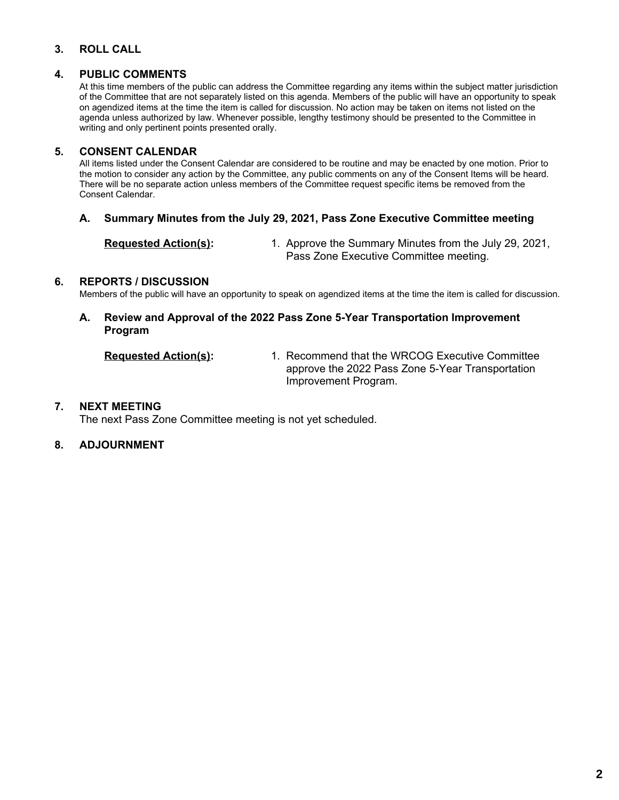#### **3. ROLL CALL**

#### **4. PUBLIC COMMENTS**

At this time members of the public can address the Committee regarding any items within the subject matter jurisdiction of the Committee that are not separately listed on this agenda. Members of the public will have an opportunity to speak on agendized items at the time the item is called for discussion. No action may be taken on items not listed on the agenda unless authorized by law. Whenever possible, lengthy testimony should be presented to the Committee in writing and only pertinent points presented orally.

#### **5. CONSENT CALENDAR**

All items listed under the Consent Calendar are considered to be routine and may be enacted by one motion. Prior to the motion to consider any action by the Committee, any public comments on any of the Consent Items will be heard. There will be no separate action unless members of the Committee request specific items be removed from the Consent Calendar.

#### **A. Summary Minutes from the July 29, 2021, Pass Zone Executive Committee meeting**

**Requested Action(s):** 1. Approve the Summary Minutes from the July 29, 2021, Pass Zone Executive Committee meeting.

#### **6. REPORTS / DISCUSSION**

Members of the public will have an opportunity to speak on agendized items at the time the item is called for discussion.

#### **A. Review and Approval of the 2022 Pass Zone 5-Year Transportation Improvement Program**

**Requested Action(s):** 1. Recommend that the WRCOG Executive Committee approve the 2022 Pass Zone 5-Year Transportation Improvement Program.

#### **7. NEXT MEETING**

The next Pass Zone Committee meeting is not yet scheduled.

#### **8. ADJOURNMENT**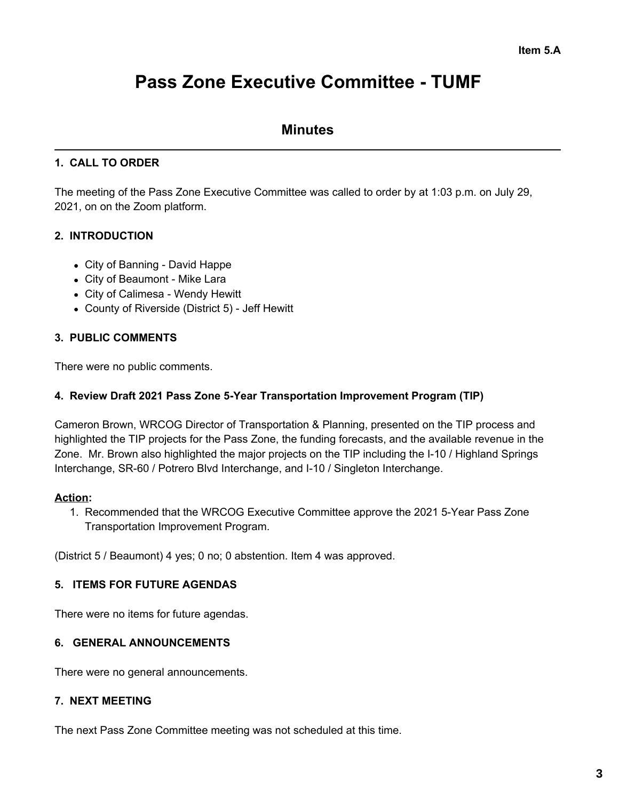# **Pass Zone Executive Committee - TUMF**

### **Minutes**

#### **1. CALL TO ORDER**

The meeting of the Pass Zone Executive Committee was called to order by at 1:03 p.m. on July 29, 2021, on on the Zoom platform.

#### **2. INTRODUCTION**

- City of Banning David Happe
- City of Beaumont Mike Lara
- City of Calimesa Wendy Hewitt
- County of Riverside (District 5) Jeff Hewitt

#### **3. PUBLIC COMMENTS**

There were no public comments.

#### **4. Review Draft 2021 Pass Zone 5-Year Transportation Improvement Program (TIP)**

Cameron Brown, WRCOG Director of Transportation & Planning, presented on the TIP process and highlighted the TIP projects for the Pass Zone, the funding forecasts, and the available revenue in the Zone. Mr. Brown also highlighted the major projects on the TIP including the I-10 / Highland Springs Interchange, SR-60 / Potrero Blvd Interchange, and I-10 / Singleton Interchange.

#### **Action:**

1. Recommended that the WRCOG Executive Committee approve the 2021 5-Year Pass Zone Transportation Improvement Program.

(District 5 / Beaumont) 4 yes; 0 no; 0 abstention. Item 4 was approved.

#### **5. ITEMS FOR FUTURE AGENDAS**

There were no items for future agendas.

#### **6. GENERAL ANNOUNCEMENTS**

There were no general announcements.

#### **7. NEXT MEETING**

The next Pass Zone Committee meeting was not scheduled at this time.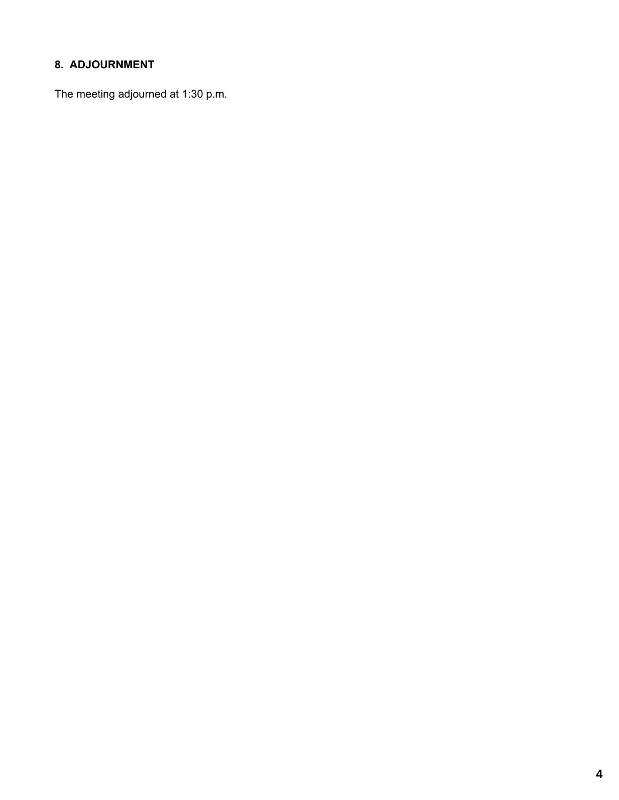## **8. ADJOURNMENT**

The meeting adjourned at 1:30 p.m.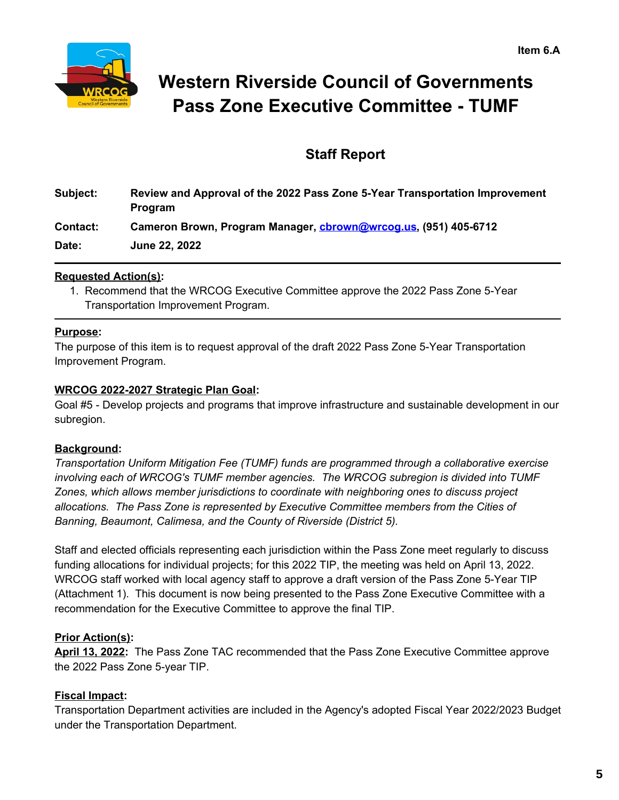

# **Western Riverside Council of Governments Pass Zone Executive Committee - TUMF**

## **Staff Report**

| Subject:        | Review and Approval of the 2022 Pass Zone 5-Year Transportation Improvement       |
|-----------------|-----------------------------------------------------------------------------------|
| <b>Contact:</b> | <b>Program</b><br>Cameron Brown, Program Manager, cbrown@wrcog.us, (951) 405-6712 |
| Date:           | <b>June 22, 2022</b>                                                              |

#### **Requested Action(s):**

1. Recommend that the WRCOG Executive Committee approve the 2022 Pass Zone 5-Year Transportation Improvement Program.

#### **Purpose:**

The purpose of this item is to request approval of the draft 2022 Pass Zone 5-Year Transportation Improvement Program.

#### **WRCOG 2022-2027 Strategic Plan Goal:**

Goal #5 - Develop projects and programs that improve infrastructure and sustainable development in our subregion.

#### **Background:**

*Transportation Uniform Mitigation Fee (TUMF) funds are programmed through a collaborative exercise involving each of WRCOG's TUMF member agencies. The WRCOG subregion is divided into TUMF Zones, which allows member jurisdictions to coordinate with neighboring ones to discuss project allocations. The Pass Zone is represented by Executive Committee members from the Cities of Banning, Beaumont, Calimesa, and the County of Riverside (District 5).*

Staff and elected officials representing each jurisdiction within the Pass Zone meet regularly to discuss funding allocations for individual projects; for this 2022 TIP, the meeting was held on April 13, 2022. WRCOG staff worked with local agency staff to approve a draft version of the Pass Zone 5-Year TIP (Attachment 1). This document is now being presented to the Pass Zone Executive Committee with a recommendation for the Executive Committee to approve the final TIP.

#### **Prior Action(s):**

**April 13, 2022:** The Pass Zone TAC recommended that the Pass Zone Executive Committee approve the 2022 Pass Zone 5-year TIP.

#### **Fiscal Impact:**

Transportation Department activities are included in the Agency's adopted Fiscal Year 2022/2023 Budget under the Transportation Department.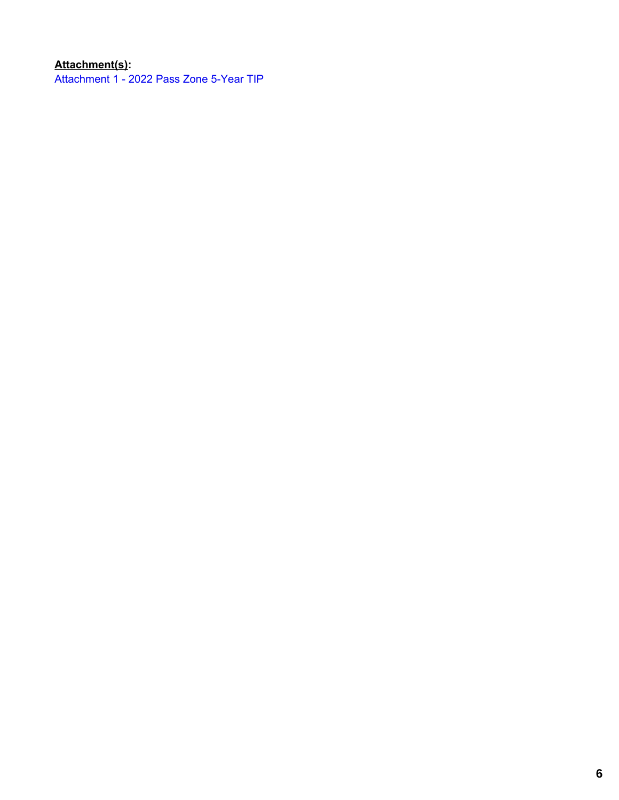## **Attachment(s):**

[Attachment](https://legistarweb-production.s3.amazonaws.com/uploads/attachment/pdf/1426759/2022_Pass_Zone_5-Year_TIP-May2022_DRAFT.pdf) 1 - 2022 Pass Zone 5-Year TIP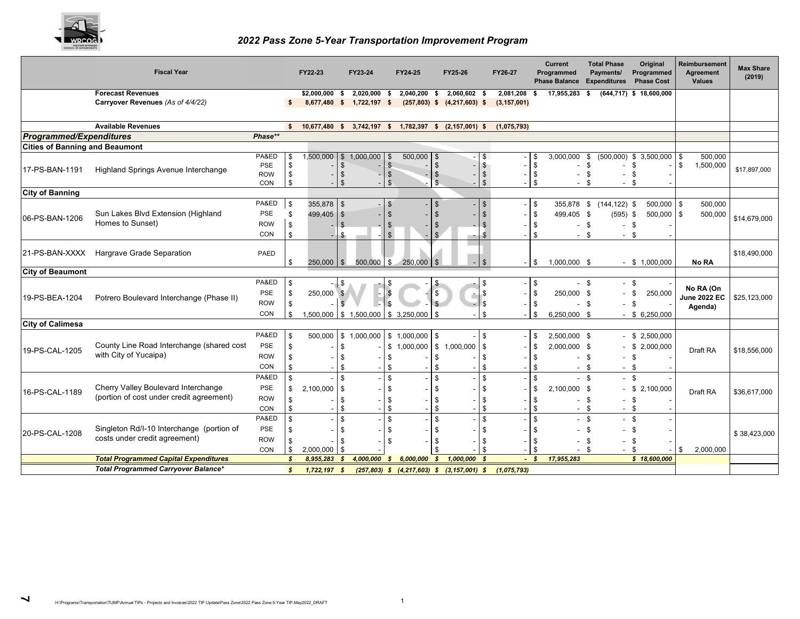

#### *2022 Pass Zone 5-Year Transportation Improvement Program*

|                                       | <b>Fiscal Year</b>                                           |                   |                    | FY22-23           |                      | FY23-24        | FY24-25                                 |                             | FY25-26                                          |                      | FY26-27       |                          | <b>Current</b><br>Programmed<br><b>Phase Balance</b> |                      | <b>Total Phase</b><br>Payments/<br><b>Expenditures</b> | Original<br>Programmed<br><b>Phase Cost</b> |         | Reimbursement<br><b>Agreement</b><br><b>Values</b> | Max Share<br>(2019) |
|---------------------------------------|--------------------------------------------------------------|-------------------|--------------------|-------------------|----------------------|----------------|-----------------------------------------|-----------------------------|--------------------------------------------------|----------------------|---------------|--------------------------|------------------------------------------------------|----------------------|--------------------------------------------------------|---------------------------------------------|---------|----------------------------------------------------|---------------------|
|                                       | <b>Forecast Revenues</b>                                     |                   |                    | \$2,000,000       | \$                   | $2,020,000$ \$ | 2,040,200                               | \$                          | 2,060,602 \$                                     |                      | 2,081,208     | - \$                     | 17,955,283                                           | \$                   |                                                        | $(644, 717)$ \$ 18,600,000                  |         |                                                    |                     |
|                                       | Carryover Revenues (As of 4/4/22)                            |                   | $\mathbf{s}$       | 8,677,480 \$      |                      | $1,722,197$ \$ |                                         |                             | $(257,803)$ \$ $(4,217,603)$ \$                  |                      | (3, 157, 001) |                          |                                                      |                      |                                                        |                                             |         |                                                    |                     |
|                                       | <b>Available Revenues</b>                                    |                   |                    | $$ 10,677,480$ \$ |                      |                |                                         |                             | 3,742,197 \$ 1,782,397 \$ (2,157,001) \$         |                      | (1,075,793)   |                          |                                                      |                      |                                                        |                                             |         |                                                    |                     |
| <b>Programmed/Expenditures</b>        |                                                              | Phase**           |                    |                   |                      |                |                                         |                             |                                                  |                      |               |                          |                                                      |                      |                                                        |                                             |         |                                                    |                     |
| <b>Cities of Banning and Beaumont</b> |                                                              |                   |                    |                   |                      |                |                                         |                             |                                                  |                      |               |                          |                                                      |                      |                                                        |                                             |         |                                                    |                     |
|                                       |                                                              | PA&ED             | \$                 | 1,500,000         | \$                   | 1,000,000      | 500,000                                 | $\sqrt[6]{3}$               |                                                  |                      |               |                          | 3,000,000                                            | \$                   | (500,000)                                              | \$3,500,000                                 | \$      | 500,000                                            |                     |
| 17-PS-BAN-1191                        | Highland Springs Avenue Interchange                          | PSE               | \$                 |                   | £.                   |                | \$                                      | $\sqrt[6]{3}$               |                                                  | \$                   |               | -\$                      |                                                      | \$                   |                                                        | \$                                          | \$      | 1,500,000                                          | \$17,897,000        |
|                                       |                                                              | <b>ROW</b><br>CON | \$<br>\$           |                   | \$<br>$\mathfrak{g}$ |                | $\mathfrak{S}$<br>$\mathfrak{s}$        | $\sqrt{2}$<br>$\mathsf{\$}$ |                                                  | \$<br>$\mathfrak{s}$ |               | $\sqrt{3}$               |                                                      | \$<br>$\mathfrak{L}$ | $\overline{\phantom{a}}$                               | \$<br>\$                                    |         |                                                    |                     |
| <b>City of Banning</b>                |                                                              |                   |                    |                   |                      |                |                                         |                             |                                                  |                      |               |                          |                                                      |                      |                                                        |                                             |         |                                                    |                     |
|                                       |                                                              | PA&ED             | \$                 | 355,878 \$        |                      |                | $\mathcal{S}$                           | \$                          |                                                  | \$                   |               | l \$                     | 355,878 \$ (144,122) \$                              |                      |                                                        | 500,000                                     | \$      | 500,000                                            |                     |
|                                       | Sun Lakes Blvd Extension (Highland                           | <b>PSE</b>        | \$                 | 499,405 \$        |                      |                |                                         |                             |                                                  |                      |               | l \$                     | 499,405 \$                                           |                      | $(595)$ \$                                             | 500,000                                     | \$      | 500,000                                            |                     |
| 06-PS-BAN-1206                        | Homes to Sunset)                                             | <b>ROW</b>        | \$                 |                   |                      |                | \$                                      | \$                          |                                                  |                      |               | $\sqrt{3}$               | $-$ \$                                               |                      | $\sim$                                                 | \$                                          |         |                                                    | \$14,679,000        |
|                                       |                                                              | CON               | \$                 |                   |                      |                | \$                                      |                             |                                                  |                      |               | -\$                      | $-$ \$                                               |                      | $-$ \$                                                 |                                             |         |                                                    |                     |
| 21-PS-BAN-XXXX                        | Hargrave Grade Separation                                    | <b>PAED</b>       | \$                 | $250,000$ \$      |                      | 500,000 \$     | 250,000                                 |                             |                                                  | -\$                  |               | l \$                     | 1,000,000 \$                                         |                      |                                                        | $-$ \$ 1,000,000                            |         | No RA                                              | \$18,490,000        |
| <b>City of Beaumont</b>               |                                                              |                   |                    |                   |                      |                |                                         |                             |                                                  |                      |               |                          |                                                      |                      |                                                        |                                             |         |                                                    |                     |
|                                       |                                                              | PA&ED             | \$                 |                   | -\$                  |                | \$                                      |                             |                                                  |                      |               | l \$                     | $-$ \$                                               |                      | $-$ \$                                                 |                                             |         |                                                    |                     |
| 19-PS-BEA-1204                        | Potrero Boulevard Interchange (Phase II)                     | <b>PSE</b>        | \$                 | 250,000 \$        |                      |                |                                         | $\frac{1}{2}$               |                                                  | Ŝ.                   |               | $\mathbf{s}$             | 250,000 \$                                           |                      | $\sim$                                                 | \$<br>250,000                               |         | No RA (On<br><b>June 2022 EC</b>                   | \$25,123,000        |
|                                       |                                                              | <b>ROW</b>        | \$                 |                   |                      |                |                                         |                             |                                                  |                      |               | l \$                     |                                                      | - \$                 |                                                        | \$                                          | Agenda) |                                                    |                     |
|                                       |                                                              | CON               | \$                 | 1,500,000         |                      |                | $\frac{1}{3}$ 1,500,000 \\$ 3,250,000   | \$                          |                                                  |                      |               | -\$                      | 6,250,000 \$                                         |                      |                                                        | \$6,250,000                                 |         |                                                    |                     |
| <b>City of Calimesa</b>               |                                                              |                   |                    |                   |                      |                |                                         |                             |                                                  |                      |               |                          |                                                      |                      |                                                        |                                             |         |                                                    |                     |
|                                       |                                                              | PA&ED             | \$                 | 500,000           | \$                   | 1,000,000      | \$1,000,000                             | <b>\$</b>                   |                                                  | - \$                 |               | l \$                     | 2,500,000 \$                                         |                      |                                                        | \$2,500,000                                 |         |                                                    |                     |
| 19-PS-CAL-1205                        | County Line Road Interchange (shared cost                    | <b>PSE</b>        | \$                 |                   |                      |                | \$1,000,000                             |                             | \$1,000,000                                      | <b>S</b>             |               | l \$                     | 2,000,000 \$                                         |                      |                                                        | \$2,000,000                                 |         | Draft RA                                           | \$18,556,000        |
|                                       | with City of Yucaipa)                                        | <b>ROW</b>        | \$                 |                   |                      |                | \$                                      | \$                          |                                                  |                      |               | - \$                     |                                                      | - \$                 | $\ddot{\phantom{a}}$                                   | \$                                          |         |                                                    |                     |
|                                       |                                                              | CON               | $\mathbf{\hat{s}}$ |                   |                      |                | \$                                      | \$                          |                                                  | £                    |               | - \$                     | $-$ \$                                               |                      | $\sim$                                                 | \$                                          |         |                                                    |                     |
|                                       |                                                              | PA&ED             | \$                 |                   |                      |                | \$                                      | \$                          |                                                  | .¢                   |               | l \$                     | $-$ \$<br>$-$ \$                                     |                      |                                                        |                                             |         |                                                    |                     |
| 16-PS-CAL-1189                        | Cherry Valley Boulevard Interchange                          | <b>PSE</b>        | \$                 | 2,100,000         | -96                  |                | \$                                      | \$                          |                                                  |                      |               | \$                       | 2,100,000 \$                                         |                      |                                                        | $-$ \$ 2,100,000                            |         | Draft RA                                           | \$36,617,000        |
|                                       | (portion of cost under credit agreement)<br><b>ROW</b><br>\$ |                   |                    | \$                | \$                   |                | S                                       |                             | - \$                                             |                      | \$            | $\overline{\phantom{a}}$ | \$                                                   |                      |                                                        |                                             |         |                                                    |                     |
|                                       |                                                              | CON               | \$                 |                   |                      |                | \$                                      | \$                          |                                                  | £                    |               |                          | $-$ \$                                               |                      | $-$ \$                                                 |                                             |         |                                                    |                     |
|                                       |                                                              | PA&ED             | $\mathbf{\hat{s}}$ |                   |                      |                | \$                                      | \$                          |                                                  | $\mathcal{S}$        |               | l \$                     | $-$ \$                                               |                      | $-$ \$                                                 |                                             |         |                                                    |                     |
| 20-PS-CAL-1208                        | Singleton Rd/I-10 Interchange (portion of                    | <b>PSE</b>        | \$                 |                   |                      |                | \$                                      | \$                          |                                                  |                      |               | -9                       | $-$ \$                                               |                      | $\overline{\phantom{a}}$                               | -\$                                         |         |                                                    | \$38,423,000        |
|                                       | costs under credit agreement)                                | <b>ROW</b>        | \$                 |                   |                      |                | \$                                      | \$                          |                                                  | £                    |               | l \$                     |                                                      | \$                   |                                                        | \$                                          |         |                                                    |                     |
|                                       |                                                              | CON               | \$                 | 2,000,000         | l \$                 |                |                                         |                             |                                                  |                      |               |                          | $\sim$                                               | - \$                 |                                                        | \$                                          | \$      | 2,000,000                                          |                     |
|                                       | <b>Total Programmed Capital Expenditures</b>                 |                   | $\mathbf{\hat{x}}$ | 8,955,283         | - \$                 | 4,000,000      | $\boldsymbol{\mathcal{S}}$<br>6,000,000 | $\boldsymbol{s}$            | 1,000,000                                        | $\mathbf{s}$         | $-5$          |                          | 17,955,283                                           |                      |                                                        | \$18,600,000                                |         |                                                    |                     |
|                                       | <b>Total Programmed Carryover Balance*</b>                   |                   | <b>S</b>           | 1,722,197         | - \$                 |                |                                         |                             | $(257,803)$ \$ $(4,217,603)$ \$ $(3,157,001)$ \$ |                      | (1,075,793)   |                          |                                                      |                      |                                                        |                                             |         |                                                    |                     |